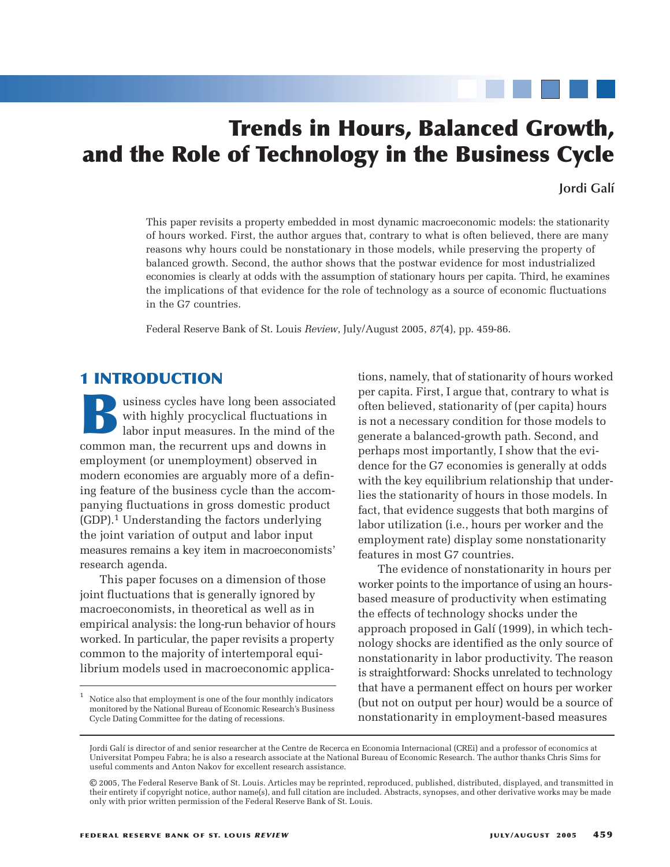# **Trends in Hours, Balanced Growth, and the Role of Technology in the Business Cycle**

# **Jordi Galí**

This paper revisits a property embedded in most dynamic macroeconomic models: the stationarity of hours worked. First, the author argues that, contrary to what is often believed, there are many reasons why hours could be nonstationary in those models, while preserving the property of balanced growth. Second, the author shows that the postwar evidence for most industrialized economies is clearly at odds with the assumption of stationary hours per capita. Third, he examines the implications of that evidence for the role of technology as a source of economic fluctuations in the G7 countries.

Federal Reserve Bank of St. Louis *Review*, July/August 2005, *87*(4), pp. 459-86.

# **1 INTRODUCTION**

with highly procyclical fluctuations in labor input measures. In the mind of the common man, the recurrent uns and downs in with highly procyclical fluctuations in labor input measures. In the mind of the common man, the recurrent ups and downs in employment (or unemployment) observed in modern economies are arguably more of a defining feature of the business cycle than the accompanying fluctuations in gross domestic product (GDP).1 Understanding the factors underlying the joint variation of output and labor input measures remains a key item in macroeconomists' research agenda.

This paper focuses on a dimension of those joint fluctuations that is generally ignored by macroeconomists, in theoretical as well as in empirical analysis: the long-run behavior of hours worked. In particular, the paper revisits a property common to the majority of intertemporal equilibrium models used in macroeconomic applica-

tions, namely, that of stationarity of hours worked per capita. First, I argue that, contrary to what is often believed, stationarity of (per capita) hours is not a necessary condition for those models to generate a balanced-growth path. Second, and perhaps most importantly, I show that the evidence for the G7 economies is generally at odds with the key equilibrium relationship that underlies the stationarity of hours in those models. In fact, that evidence suggests that both margins of labor utilization (i.e., hours per worker and the employment rate) display some nonstationarity features in most G7 countries.

The evidence of nonstationarity in hours per worker points to the importance of using an hoursbased measure of productivity when estimating the effects of technology shocks under the approach proposed in Galí (1999), in which technology shocks are identified as the only source of nonstationarity in labor productivity. The reason is straightforward: Shocks unrelated to technology that have a permanent effect on hours per worker (but not on output per hour) would be a source of nonstationarity in employment-based measures

 $^{\rm 1}~$  Notice also that employment is one of the four monthly indicators monitored by the National Bureau of Economic Research's Business Cycle Dating Committee for the dating of recessions.

Jordi Galí is director of and senior researcher at the Centre de Recerca en Economia Internacional (CREi) and a professor of economics at Universitat Pompeu Fabra; he is also a research associate at the National Bureau of Economic Research. The author thanks Chris Sims for useful comments and Anton Nakov for excellent research assistance.

<sup>©</sup> 2005, The Federal Reserve Bank of St. Louis. Articles may be reprinted, reproduced, published, distributed, displayed, and transmitted in their entirety if copyright notice, author name(s), and full citation are included. Abstracts, synopses, and other derivative works may be made only with prior written permission of the Federal Reserve Bank of St. Louis.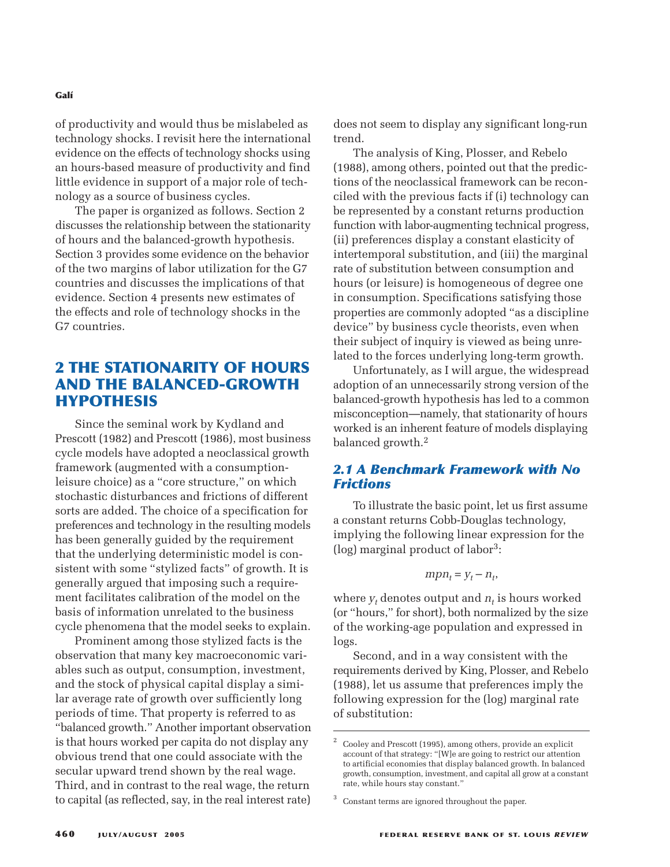of productivity and would thus be mislabeled as technology shocks. I revisit here the international evidence on the effects of technology shocks using an hours-based measure of productivity and find little evidence in support of a major role of technology as a source of business cycles.

The paper is organized as follows. Section 2 discusses the relationship between the stationarity of hours and the balanced-growth hypothesis. Section 3 provides some evidence on the behavior of the two margins of labor utilization for the G7 countries and discusses the implications of that evidence. Section 4 presents new estimates of the effects and role of technology shocks in the G7 countries.

# **2 THE STATIONARITY OF HOURS AND THE BALANCED-GROWTH HYPOTHESIS**

Since the seminal work by Kydland and Prescott (1982) and Prescott (1986), most business cycle models have adopted a neoclassical growth framework (augmented with a consumptionleisure choice) as a "core structure," on which stochastic disturbances and frictions of different sorts are added. The choice of a specification for preferences and technology in the resulting models has been generally guided by the requirement that the underlying deterministic model is consistent with some "stylized facts" of growth. It is generally argued that imposing such a requirement facilitates calibration of the model on the basis of information unrelated to the business cycle phenomena that the model seeks to explain.

Prominent among those stylized facts is the observation that many key macroeconomic variables such as output, consumption, investment, and the stock of physical capital display a similar average rate of growth over sufficiently long periods of time. That property is referred to as "balanced growth." Another important observation is that hours worked per capita do not display any obvious trend that one could associate with the secular upward trend shown by the real wage. Third, and in contrast to the real wage, the return to capital (as reflected, say, in the real interest rate)

does not seem to display any significant long-run trend.

The analysis of King, Plosser, and Rebelo (1988), among others, pointed out that the predictions of the neoclassical framework can be reconciled with the previous facts if (i) technology can be represented by a constant returns production function with labor-augmenting technical progress, (ii) preferences display a constant elasticity of intertemporal substitution, and (iii) the marginal rate of substitution between consumption and hours (or leisure) is homogeneous of degree one in consumption. Specifications satisfying those properties are commonly adopted "as a discipline device" by business cycle theorists, even when their subject of inquiry is viewed as being unrelated to the forces underlying long-term growth.

Unfortunately, as I will argue, the widespread adoption of an unnecessarily strong version of the balanced-growth hypothesis has led to a common misconception—namely, that stationarity of hours worked is an inherent feature of models displaying balanced growth.<sup>2</sup>

# *2.1 A Benchmark Framework with No Frictions*

To illustrate the basic point, let us first assume a constant returns Cobb-Douglas technology, implying the following linear expression for the (log) marginal product of labor3:

$$
m p n_t = y_t - n_t,
$$

where  $y_t$  denotes output and  $n_t$  is hours worked (or "hours," for short), both normalized by the size of the working-age population and expressed in logs.

Second, and in a way consistent with the requirements derived by King, Plosser, and Rebelo (1988), let us assume that preferences imply the following expression for the (log) marginal rate of substitution:

 $2^{\circ}$  Cooley and Prescott (1995), among others, provide an explicit account of that strategy: "[W]e are going to restrict our attention to artificial economies that display balanced growth. In balanced growth, consumption, investment, and capital all grow at a constant rate, while hours stay constant."

<sup>&</sup>lt;sup>3</sup> Constant terms are ignored throughout the paper.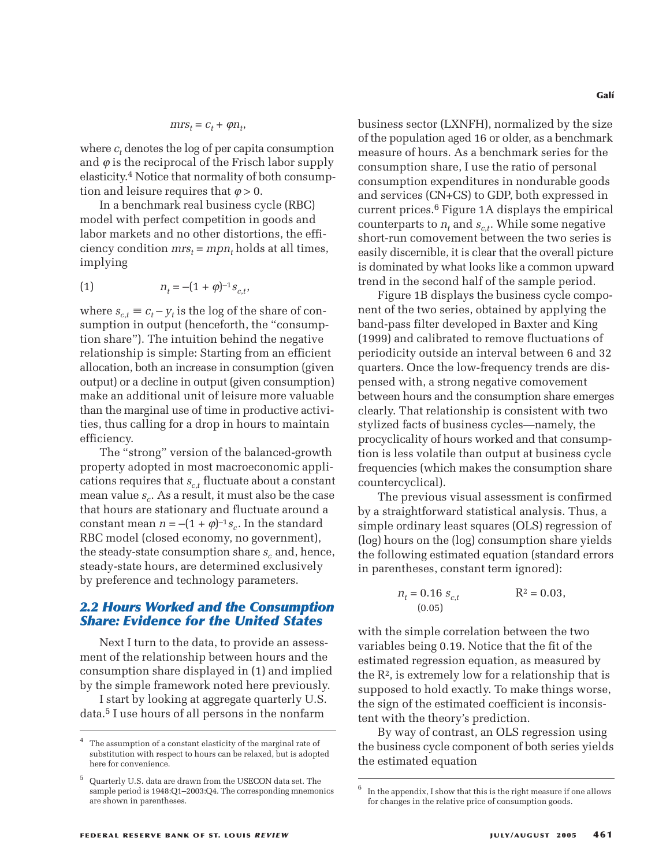$$
mrs_t = c_t + \varphi n_t,
$$

where  $c_t$  denotes the log of per capita consumption and  $\varphi$  is the reciprocal of the Frisch labor supply elasticity.4 Notice that normality of both consumption and leisure requires that  $\varphi > 0$ .

In a benchmark real business cycle (RBC) model with perfect competition in goods and labor markets and no other distortions, the efficiency condition  $mrs_t = mpn_t$  holds at all times, implying

(1) 
$$
n_t = -(1 + \varphi)^{-1} s_{c,t},
$$

where  $s_{ct} \equiv c_t - y_t$  is the log of the share of consumption in output (henceforth, the "consumption share"). The intuition behind the negative relationship is simple: Starting from an efficient allocation, both an increase in consumption (given output) or a decline in output (given consumption) make an additional unit of leisure more valuable than the marginal use of time in productive activities, thus calling for a drop in hours to maintain efficiency.

The "strong" version of the balanced-growth property adopted in most macroeconomic applications requires that  $s_{c,t}$  fluctuate about a constant mean value  $s_c$ . As a result, it must also be the case that hours are stationary and fluctuate around a constant mean  $n = -(1 + \varphi)^{-1} s_c$ . In the standard RBC model (closed economy, no government), the steady-state consumption share  $s_c$  and, hence, steady-state hours, are determined exclusively by preference and technology parameters.

### *2.2 Hours Worked and the Consumption Share: Evidence for the United States*

Next I turn to the data, to provide an assessment of the relationship between hours and the consumption share displayed in (1) and implied by the simple framework noted here previously.

I start by looking at aggregate quarterly U.S. data.5 I use hours of all persons in the nonfarm

business sector (LXNFH), normalized by the size of the population aged 16 or older, as a benchmark measure of hours. As a benchmark series for the consumption share, I use the ratio of personal consumption expenditures in nondurable goods and services (CN+CS) to GDP, both expressed in current prices.6 Figure 1A displays the empirical counterparts to  $n_t$  and  $s_{c,t}$ . While some negative short-run comovement between the two series is easily discernible, it is clear that the overall picture is dominated by what looks like a common upward trend in the second half of the sample period.

Figure 1B displays the business cycle component of the two series, obtained by applying the band-pass filter developed in Baxter and King (1999) and calibrated to remove fluctuations of periodicity outside an interval between 6 and 32 quarters. Once the low-frequency trends are dispensed with, a strong negative comovement between hours and the consumption share emerges clearly. That relationship is consistent with two stylized facts of business cycles—namely, the procyclicality of hours worked and that consumption is less volatile than output at business cycle frequencies (which makes the consumption share countercyclical).

The previous visual assessment is confirmed by a straightforward statistical analysis. Thus, a simple ordinary least squares (OLS) regression of (log) hours on the (log) consumption share yields the following estimated equation (standard errors in parentheses, constant term ignored):

$$
n_t = 0.16 s_{c,t} \qquad R^2 = 0.03,
$$
  
(0.05)

with the simple correlation between the two variables being 0.19. Notice that the fit of the estimated regression equation, as measured by the  $R^2$ , is extremely low for a relationship that is supposed to hold exactly. To make things worse, the sign of the estimated coefficient is inconsistent with the theory's prediction.

By way of contrast, an OLS regression using the business cycle component of both series yields the estimated equation

The assumption of a constant elasticity of the marginal rate of substitution with respect to hours can be relaxed, but is adopted here for convenience.

<sup>5</sup> Quarterly U.S. data are drawn from the USECON data set. The sample period is 1948:Q1–2003:Q4. The corresponding mnemonics are shown in parentheses.

In the appendix, I show that this is the right measure if one allows for changes in the relative price of consumption goods.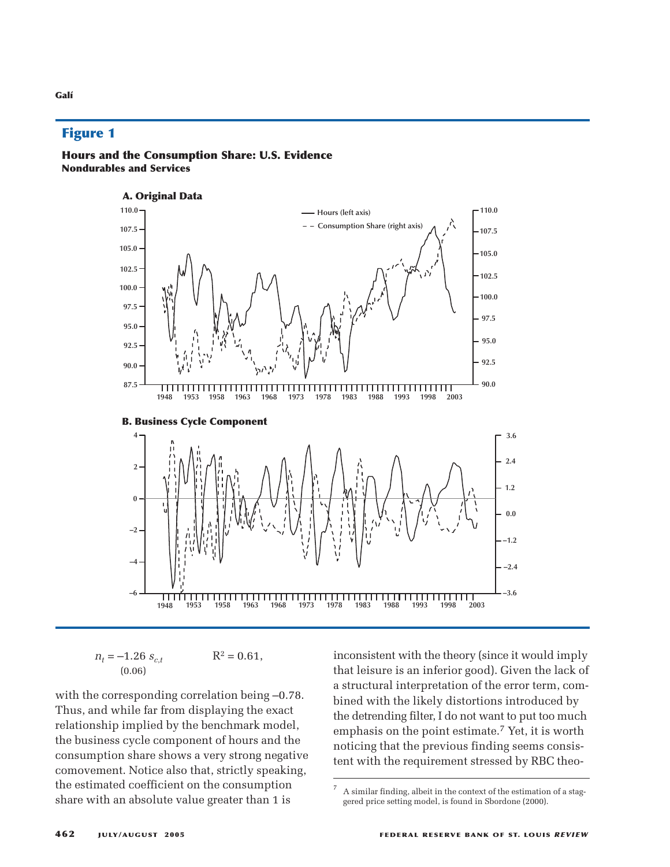### **Figure 1**





$$
n_t = -1.26 s_{c,t} \qquad R^2 = 0.61,
$$
  
(0.06)

with the corresponding correlation being –0.78. Thus, and while far from displaying the exact relationship implied by the benchmark model, the business cycle component of hours and the consumption share shows a very strong negative comovement. Notice also that, strictly speaking, the estimated coefficient on the consumption share with an absolute value greater than 1 is

inconsistent with the theory (since it would imply that leisure is an inferior good). Given the lack of a structural interpretation of the error term, combined with the likely distortions introduced by the detrending filter, I do not want to put too much emphasis on the point estimate.7 Yet, it is worth noticing that the previous finding seems consistent with the requirement stressed by RBC theo-

 $7 A$  similar finding, albeit in the context of the estimation of a staggered price setting model, is found in Sbordone (2000).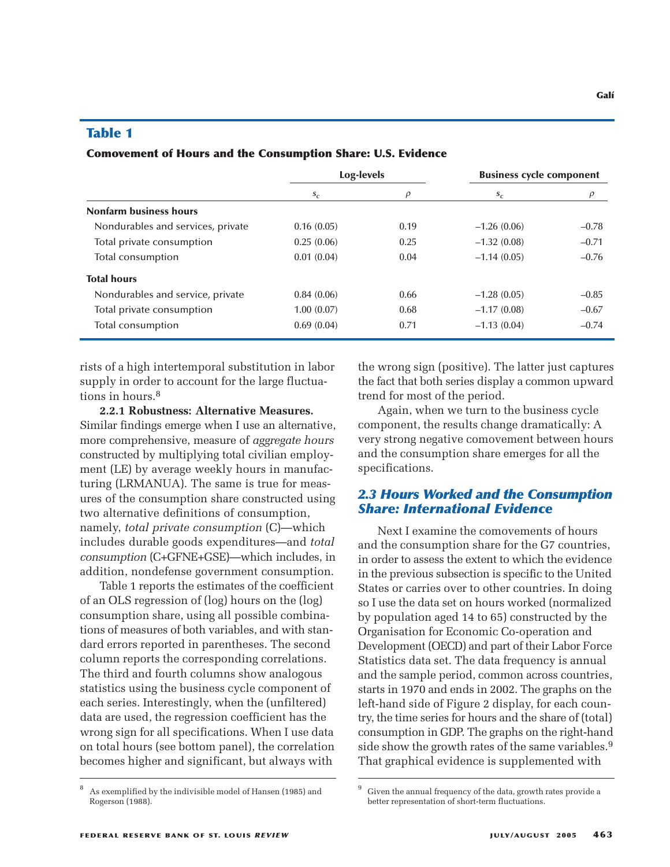#### **Table 1**

#### **Comovement of Hours and the Consumption Share: U.S. Evidence**

|                                   | Log-levels |        | <b>Business cycle component</b> |         |
|-----------------------------------|------------|--------|---------------------------------|---------|
|                                   | $S_{C}$    | $\rho$ | $S_{C}$                         |         |
| <b>Nonfarm business hours</b>     |            |        |                                 |         |
| Nondurables and services, private | 0.16(0.05) | 0.19   | $-1.26(0.06)$                   | $-0.78$ |
| Total private consumption         | 0.25(0.06) | 0.25   | $-1.32(0.08)$                   | $-0.71$ |
| Total consumption                 | 0.01(0.04) | 0.04   | $-1.14(0.05)$                   | $-0.76$ |
| <b>Total hours</b>                |            |        |                                 |         |
| Nondurables and service, private  | 0.84(0.06) | 0.66   | $-1.28(0.05)$                   | $-0.85$ |
| Total private consumption         | 1.00(0.07) | 0.68   | $-1.17(0.08)$                   | $-0.67$ |
| Total consumption                 | 0.69(0.04) | 0.71   | $-1.13(0.04)$                   | $-0.74$ |

rists of a high intertemporal substitution in labor supply in order to account for the large fluctuations in hours.8

**2.2.1 Robustness: Alternative Measures.** Similar findings emerge when I use an alternative, more comprehensive, measure of *aggregate hours* constructed by multiplying total civilian employment (LE) by average weekly hours in manufacturing (LRMANUA). The same is true for measures of the consumption share constructed using two alternative definitions of consumption, namely, *total private consumption* (C)—which includes durable goods expenditures—and *total consumption* (C+GFNE+GSE)—which includes, in addition, nondefense government consumption.

Table 1 reports the estimates of the coefficient of an OLS regression of (log) hours on the (log) consumption share, using all possible combinations of measures of both variables, and with standard errors reported in parentheses. The second column reports the corresponding correlations. The third and fourth columns show analogous statistics using the business cycle component of each series. Interestingly, when the (unfiltered) data are used, the regression coefficient has the wrong sign for all specifications. When I use data on total hours (see bottom panel), the correlation becomes higher and significant, but always with

the wrong sign (positive). The latter just captures the fact that both series display a common upward trend for most of the period.

Again, when we turn to the business cycle component, the results change dramatically: A very strong negative comovement between hours and the consumption share emerges for all the specifications.

### *2.3 Hours Worked and the Consumption Share: International Evidence*

Next I examine the comovements of hours and the consumption share for the G7 countries, in order to assess the extent to which the evidence in the previous subsection is specific to the United States or carries over to other countries. In doing so I use the data set on hours worked (normalized by population aged 14 to 65) constructed by the Organisation for Economic Co-operation and Development (OECD) and part of their Labor Force Statistics data set. The data frequency is annual and the sample period, common across countries, starts in 1970 and ends in 2002. The graphs on the left-hand side of Figure 2 display, for each country, the time series for hours and the share of (total) consumption in GDP. The graphs on the right-hand side show the growth rates of the same variables.<sup>9</sup> That graphical evidence is supplemented with

<sup>8</sup> As exemplified by the indivisible model of Hansen (1985) and Rogerson (1988).

Given the annual frequency of the data, growth rates provide a better representation of short-term fluctuations.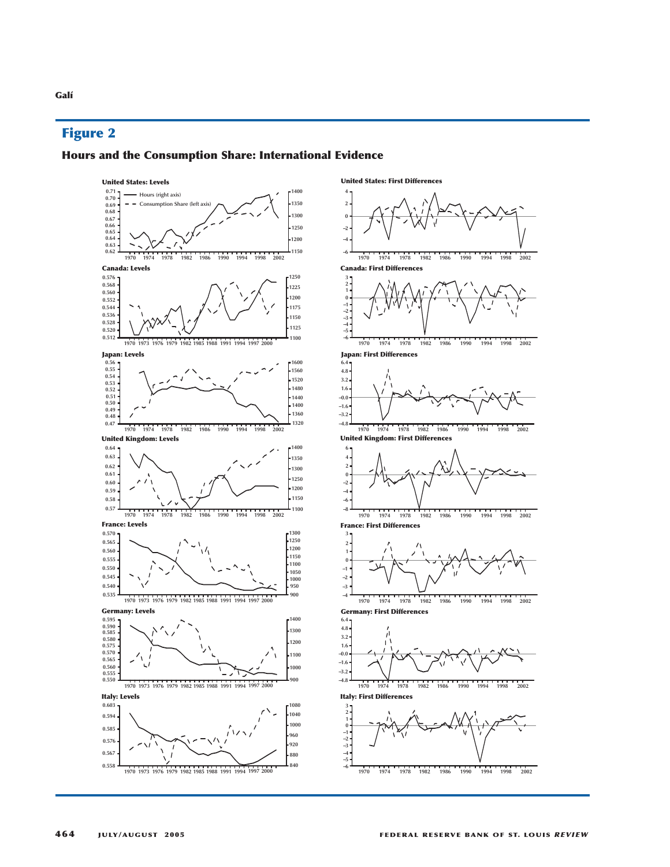### **Figure 2**

#### **Hours and the Consumption Share: International Evidence**

**United States: Levels**



**United States: First Differences** 

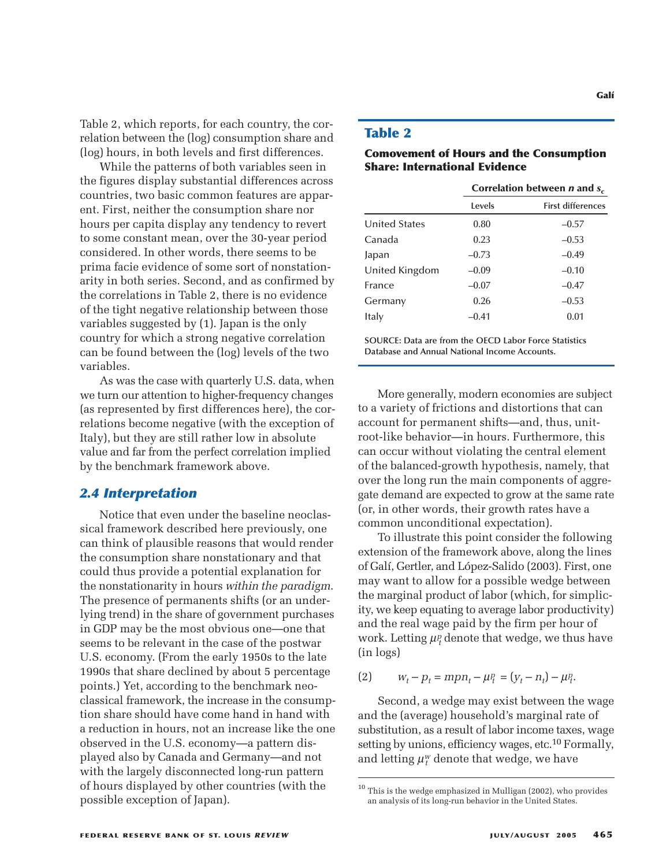Table 2, which reports, for each country, the correlation between the (log) consumption share and (log) hours, in both levels and first differences.

While the patterns of both variables seen in the figures display substantial differences across countries, two basic common features are apparent. First, neither the consumption share nor hours per capita display any tendency to revert to some constant mean, over the 30-year period considered. In other words, there seems to be prima facie evidence of some sort of nonstationarity in both series. Second, and as confirmed by the correlations in Table 2, there is no evidence of the tight negative relationship between those variables suggested by (1). Japan is the only country for which a strong negative correlation can be found between the (log) levels of the two variables.

As was the case with quarterly U.S. data, when we turn our attention to higher-frequency changes (as represented by first differences here), the correlations become negative (with the exception of Italy), but they are still rather low in absolute value and far from the perfect correlation implied by the benchmark framework above.

### *2.4 Interpretation*

Notice that even under the baseline neoclassical framework described here previously, one can think of plausible reasons that would render the consumption share nonstationary and that could thus provide a potential explanation for the nonstationarity in hours *within the paradigm*. The presence of permanents shifts (or an underlying trend) in the share of government purchases in GDP may be the most obvious one—one that seems to be relevant in the case of the postwar U.S. economy. (From the early 1950s to the late 1990s that share declined by about 5 percentage points.) Yet, according to the benchmark neoclassical framework, the increase in the consumption share should have come hand in hand with a reduction in hours, not an increase like the one observed in the U.S. economy—a pattern displayed also by Canada and Germany—and not with the largely disconnected long-run pattern of hours displayed by other countries (with the possible exception of Japan).

### **Table 2**

#### **Comovement of Hours and the Consumption Share: International Evidence**

|                      | Correlation between $n$ and $s_c$ |                          |  |  |
|----------------------|-----------------------------------|--------------------------|--|--|
|                      | Levels                            | <b>First differences</b> |  |  |
| <b>United States</b> | 0.80                              | $-0.57$                  |  |  |
| Canada               | 0.23                              | $-0.53$                  |  |  |
| Japan                | $-0.73$                           | $-0.49$                  |  |  |
| United Kingdom       | $-0.09$                           | $-0.10$                  |  |  |
| France               | $-0.07$                           | $-0.47$                  |  |  |
| Germany              | 0.26                              | $-0.53$                  |  |  |
| Italy                | $-0.41$                           | 0.01                     |  |  |
|                      |                                   |                          |  |  |

**SOURCE: Data are from the OECD Labor Force Statistics Database and Annual National Income Accounts.**

More generally, modern economies are subject to a variety of frictions and distortions that can account for permanent shifts—and, thus, unitroot-like behavior—in hours. Furthermore, this can occur without violating the central element of the balanced-growth hypothesis, namely, that over the long run the main components of aggregate demand are expected to grow at the same rate (or, in other words, their growth rates have a common unconditional expectation).

To illustrate this point consider the following extension of the framework above, along the lines of Galí, Gertler, and López-Salido (2003). First, one may want to allow for a possible wedge between the marginal product of labor (which, for simplicity, we keep equating to average labor productivity) and the real wage paid by the firm per hour of work. Letting  $\mu_t^p$  denote that wedge, we thus have (in logs)

(2)  $w_t - p_t = m p n_t - \mu_t^p = (y_t - n_t) - \mu_t^p$ .

Second, a wedge may exist between the wage and the (average) household's marginal rate of substitution, as a result of labor income taxes, wage setting by unions, efficiency wages, etc.10 Formally, and letting  $\mu_t^w$  denote that wedge, we have

<sup>10</sup> This is the wedge emphasized in Mulligan (2002), who provides an analysis of its long-run behavior in the United States.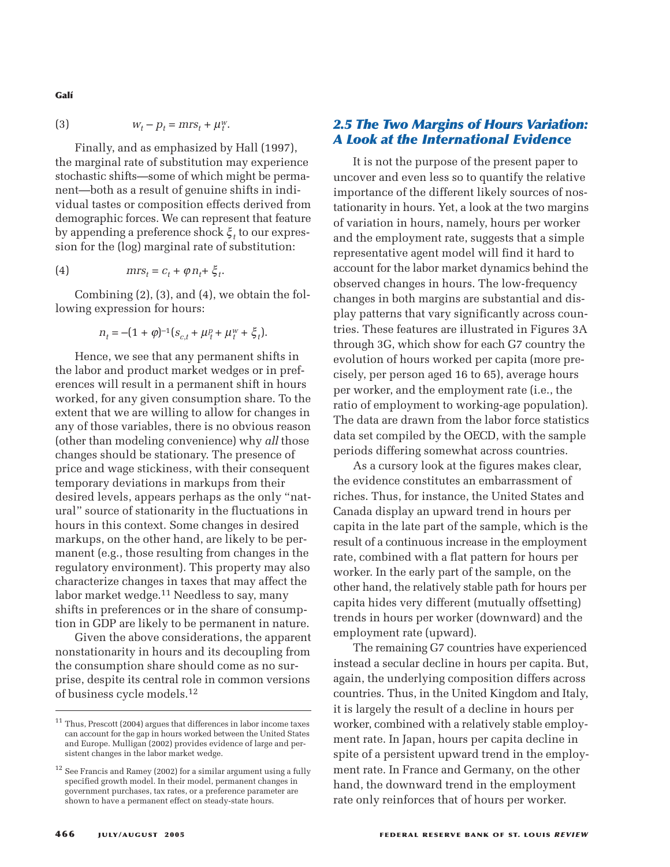**Galí**

$$
(3) \t\t\t w_t - p_t = mrs_t + \mu_t^w.
$$

Finally, and as emphasized by Hall (1997), the marginal rate of substitution may experience stochastic shifts—some of which might be permanent—both as a result of genuine shifts in individual tastes or composition effects derived from demographic forces. We can represent that feature by appending a preference shock ξ *<sup>t</sup>* to our expression for the (log) marginal rate of substitution:

(4) 
$$
mrs_t = c_t + \varphi n_t + \xi_t.
$$

Combining (2), (3), and (4), we obtain the following expression for hours:

$$
n_{t} = -(1 + \varphi)^{-1} (s_{c,t} + \mu_t^p + \mu_t^w + \xi_t).
$$

Hence, we see that any permanent shifts in the labor and product market wedges or in preferences will result in a permanent shift in hours worked, for any given consumption share. To the extent that we are willing to allow for changes in any of those variables, there is no obvious reason (other than modeling convenience) why *all* those changes should be stationary. The presence of price and wage stickiness, with their consequent temporary deviations in markups from their desired levels, appears perhaps as the only "natural" source of stationarity in the fluctuations in hours in this context. Some changes in desired markups, on the other hand, are likely to be permanent (e.g., those resulting from changes in the regulatory environment). This property may also characterize changes in taxes that may affect the labor market wedge.11 Needless to say, many shifts in preferences or in the share of consumption in GDP are likely to be permanent in nature.

Given the above considerations, the apparent nonstationarity in hours and its decoupling from the consumption share should come as no surprise, despite its central role in common versions of business cycle models.12

# *2.5 The Two Margins of Hours Variation: A Look at the International Evidence*

It is not the purpose of the present paper to uncover and even less so to quantify the relative importance of the different likely sources of nostationarity in hours. Yet, a look at the two margins of variation in hours, namely, hours per worker and the employment rate, suggests that a simple representative agent model will find it hard to account for the labor market dynamics behind the observed changes in hours. The low-frequency changes in both margins are substantial and display patterns that vary significantly across countries. These features are illustrated in Figures 3A through 3G, which show for each G7 country the evolution of hours worked per capita (more precisely, per person aged 16 to 65), average hours per worker, and the employment rate (i.e., the ratio of employment to working-age population). The data are drawn from the labor force statistics data set compiled by the OECD, with the sample periods differing somewhat across countries.

As a cursory look at the figures makes clear, the evidence constitutes an embarrassment of riches. Thus, for instance, the United States and Canada display an upward trend in hours per capita in the late part of the sample, which is the result of a continuous increase in the employment rate, combined with a flat pattern for hours per worker. In the early part of the sample, on the other hand, the relatively stable path for hours per capita hides very different (mutually offsetting) trends in hours per worker (downward) and the employment rate (upward).

The remaining G7 countries have experienced instead a secular decline in hours per capita. But, again, the underlying composition differs across countries. Thus, in the United Kingdom and Italy, it is largely the result of a decline in hours per worker, combined with a relatively stable employment rate. In Japan, hours per capita decline in spite of a persistent upward trend in the employment rate. In France and Germany, on the other hand, the downward trend in the employment rate only reinforces that of hours per worker.

<sup>&</sup>lt;sup>11</sup> Thus, Prescott (2004) argues that differences in labor income taxes can account for the gap in hours worked between the United States and Europe. Mulligan (2002) provides evidence of large and persistent changes in the labor market wedge.

 $^{12}$  See Francis and Ramey (2002) for a similar argument using a fully specified growth model. In their model, permanent changes in government purchases, tax rates, or a preference parameter are shown to have a permanent effect on steady-state hours.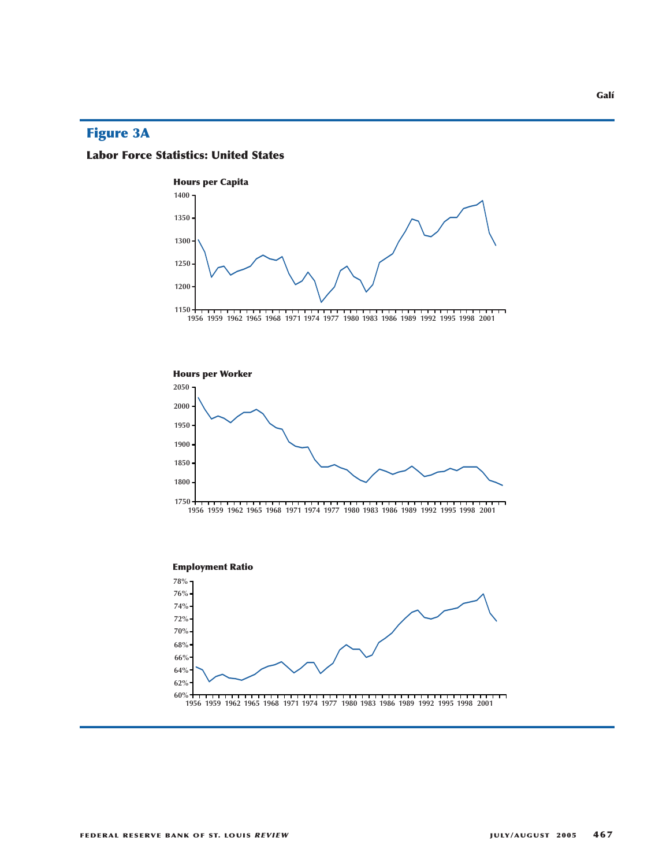# **Figure 3A**

### **Labor Force Statistics: United States**



**60%**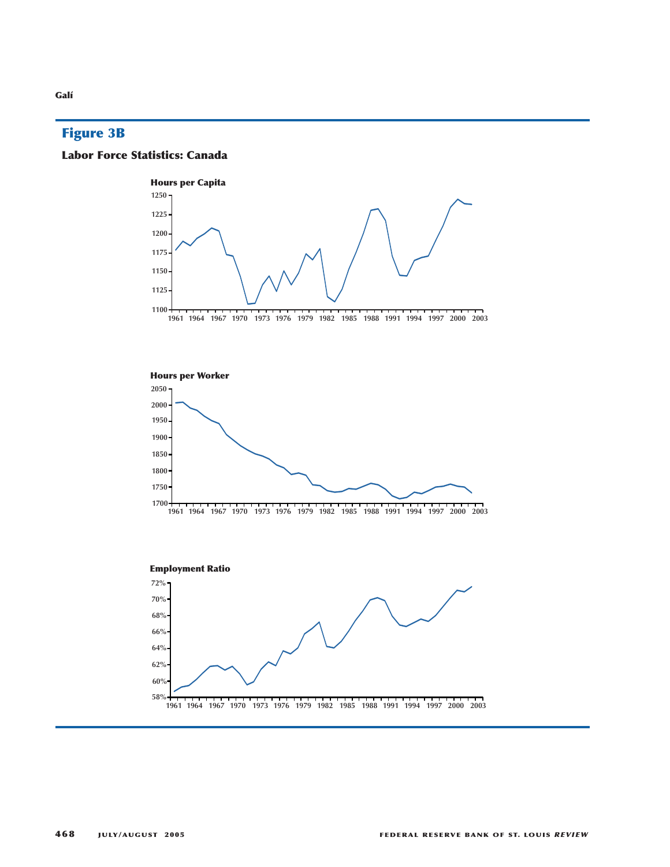# **Figure 3B**







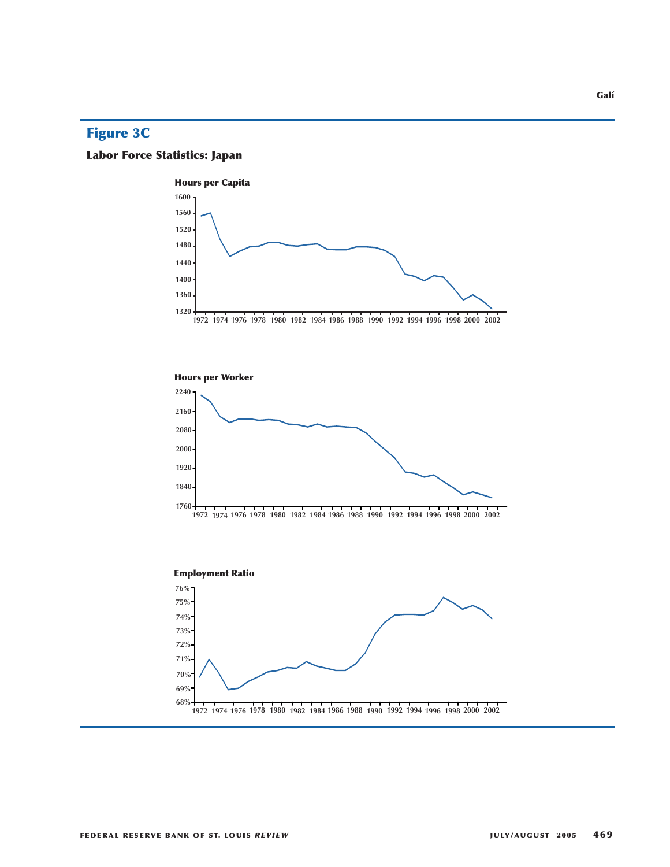# **Figure 3C**

# **Labor Force Statistics: Japan**





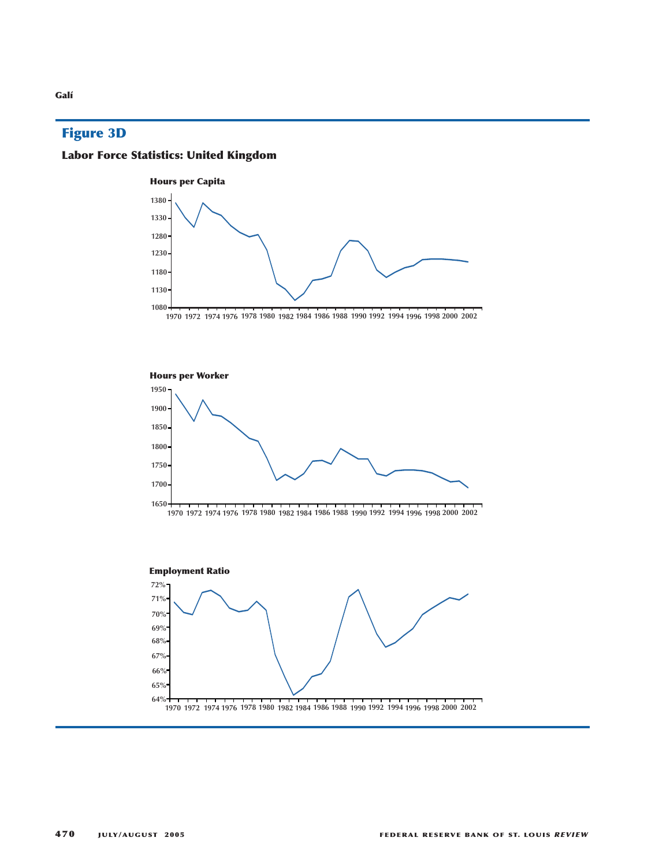# **Figure 3D**

# **Labor Force Statistics: United Kingdom**







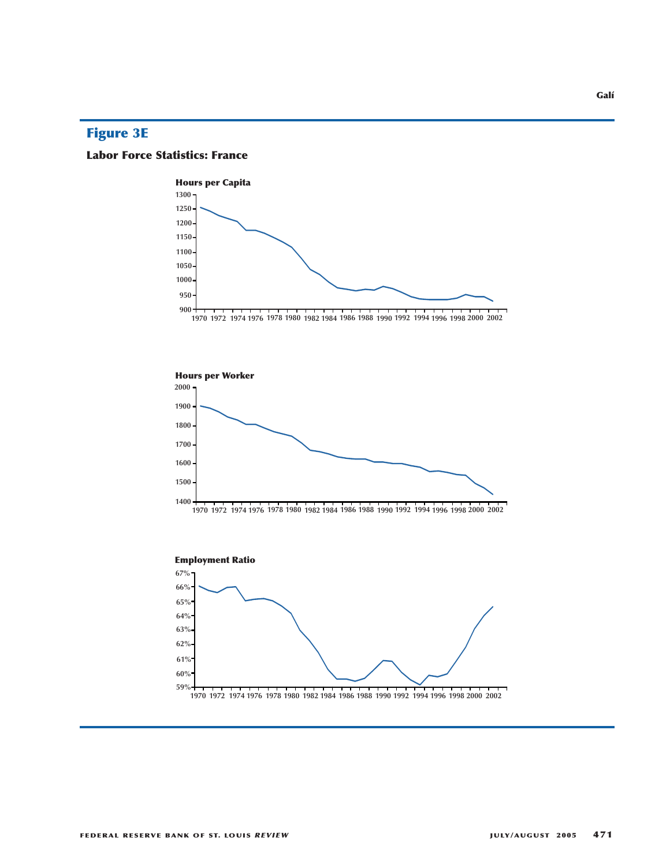# **Figure 3E**

### **Labor Force Statistics: France**





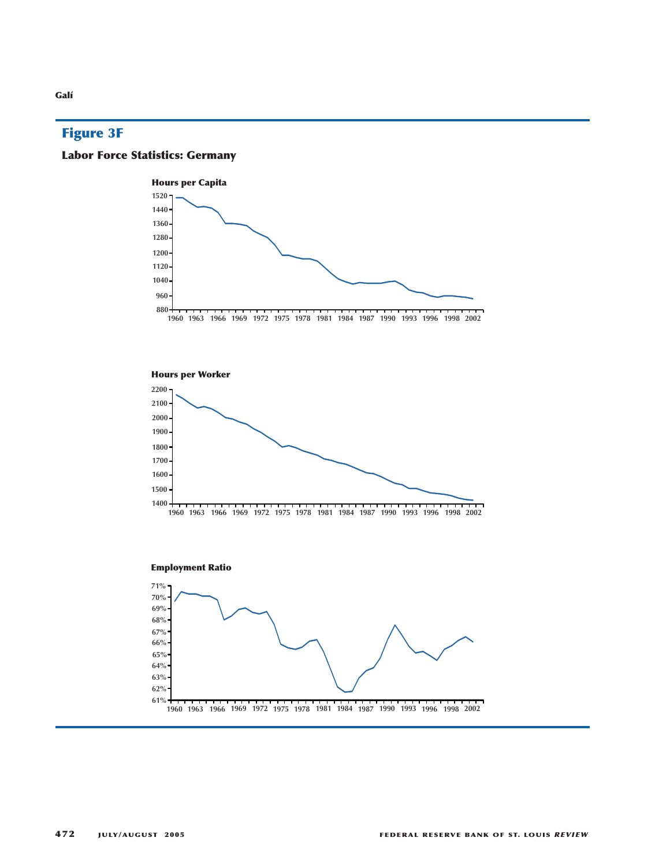# **Figure 3F**

# **Labor Force Statistics: Germany**

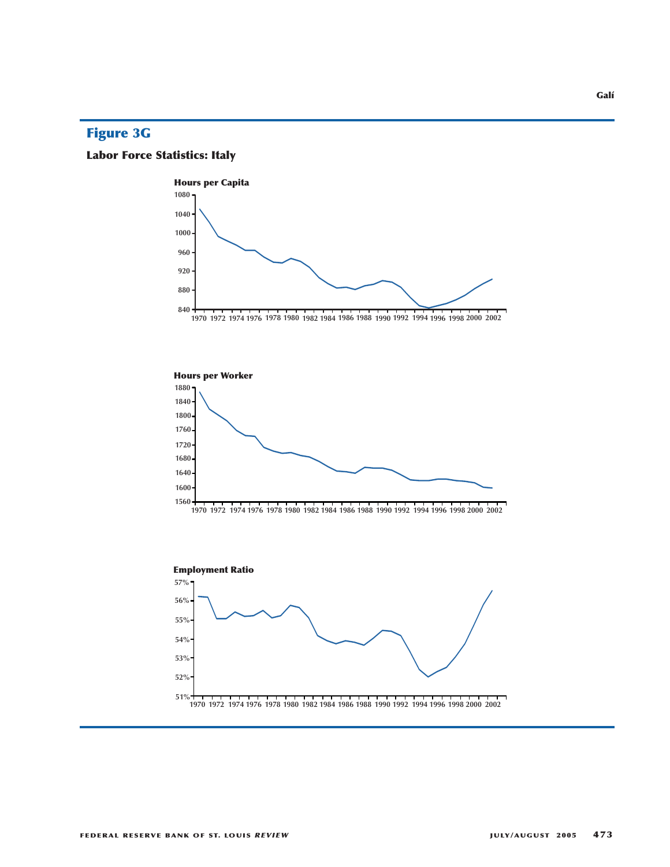# **Figure 3G**

# **Labor Force Statistics: Italy**







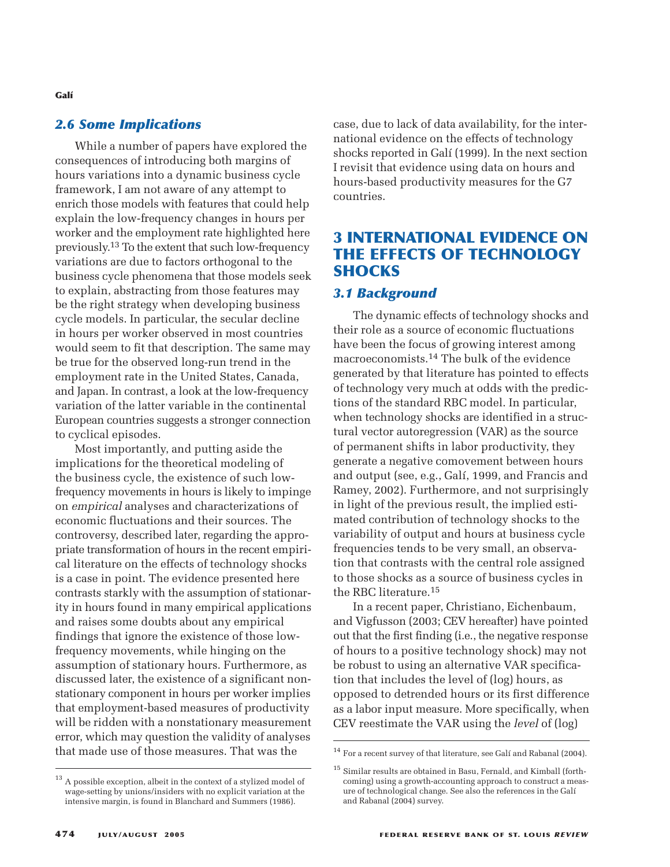### *2.6 Some Implications*

While a number of papers have explored the consequences of introducing both margins of hours variations into a dynamic business cycle framework, I am not aware of any attempt to enrich those models with features that could help explain the low-frequency changes in hours per worker and the employment rate highlighted here previously.13 To the extent that such low-frequency variations are due to factors orthogonal to the business cycle phenomena that those models seek to explain, abstracting from those features may be the right strategy when developing business cycle models. In particular, the secular decline in hours per worker observed in most countries would seem to fit that description. The same may be true for the observed long-run trend in the employment rate in the United States, Canada, and Japan. In contrast, a look at the low-frequency variation of the latter variable in the continental European countries suggests a stronger connection to cyclical episodes.

Most importantly, and putting aside the implications for the theoretical modeling of the business cycle, the existence of such lowfrequency movements in hours is likely to impinge on *empirical* analyses and characterizations of economic fluctuations and their sources. The controversy, described later, regarding the appropriate transformation of hours in the recent empirical literature on the effects of technology shocks is a case in point. The evidence presented here contrasts starkly with the assumption of stationarity in hours found in many empirical applications and raises some doubts about any empirical findings that ignore the existence of those lowfrequency movements, while hinging on the assumption of stationary hours. Furthermore, as discussed later, the existence of a significant nonstationary component in hours per worker implies that employment-based measures of productivity will be ridden with a nonstationary measurement error, which may question the validity of analyses that made use of those measures. That was the

case, due to lack of data availability, for the international evidence on the effects of technology shocks reported in Galí (1999). In the next section I revisit that evidence using data on hours and hours-based productivity measures for the G7 countries.

# **3 INTERNATIONAL EVIDENCE ON THE EFFECTS OF TECHNOLOGY SHOCKS**

### *3.1 Background*

The dynamic effects of technology shocks and their role as a source of economic fluctuations have been the focus of growing interest among macroeconomists.14 The bulk of the evidence generated by that literature has pointed to effects of technology very much at odds with the predictions of the standard RBC model. In particular, when technology shocks are identified in a structural vector autoregression (VAR) as the source of permanent shifts in labor productivity, they generate a negative comovement between hours and output (see, e.g., Galí, 1999, and Francis and Ramey, 2002). Furthermore, and not surprisingly in light of the previous result, the implied estimated contribution of technology shocks to the variability of output and hours at business cycle frequencies tends to be very small, an observation that contrasts with the central role assigned to those shocks as a source of business cycles in the RBC literature.15

In a recent paper, Christiano, Eichenbaum, and Vigfusson (2003; CEV hereafter) have pointed out that the first finding (i.e., the negative response of hours to a positive technology shock) may not be robust to using an alternative VAR specification that includes the level of (log) hours, as opposed to detrended hours or its first difference as a labor input measure. More specifically, when CEV reestimate the VAR using the *level* of (log)

 $^{14}$  For a recent survey of that literature, see Galí and Rabanal (2004).

 $^{\rm 13}$  A possible exception, albeit in the context of a stylized model of wage-setting by unions/insiders with no explicit variation at the intensive margin, is found in Blanchard and Summers (1986).

<sup>15</sup> Similar results are obtained in Basu, Fernald, and Kimball (forthcoming) using a growth-accounting approach to construct a measure of technological change. See also the references in the Galí and Rabanal (2004) survey.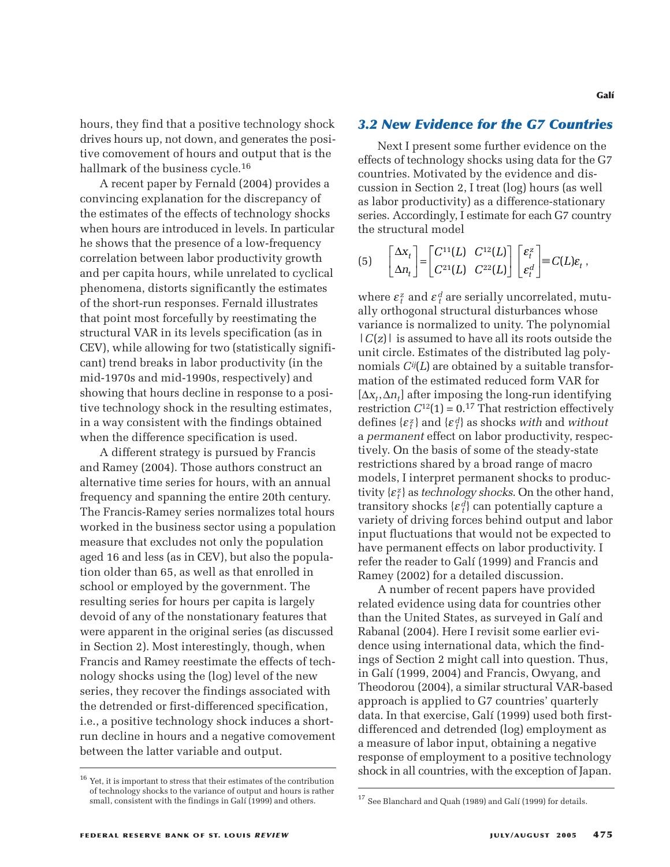hours, they find that a positive technology shock drives hours up, not down, and generates the positive comovement of hours and output that is the hallmark of the business cycle.16

A recent paper by Fernald (2004) provides a convincing explanation for the discrepancy of the estimates of the effects of technology shocks when hours are introduced in levels. In particular he shows that the presence of a low-frequency correlation between labor productivity growth and per capita hours, while unrelated to cyclical phenomena, distorts significantly the estimates of the short-run responses. Fernald illustrates that point most forcefully by reestimating the structural VAR in its levels specification (as in CEV), while allowing for two (statistically significant) trend breaks in labor productivity (in the mid-1970s and mid-1990s, respectively) and showing that hours decline in response to a positive technology shock in the resulting estimates, in a way consistent with the findings obtained when the difference specification is used.

A different strategy is pursued by Francis and Ramey (2004). Those authors construct an alternative time series for hours, with an annual frequency and spanning the entire 20th century. The Francis-Ramey series normalizes total hours worked in the business sector using a population measure that excludes not only the population aged 16 and less (as in CEV), but also the population older than 65, as well as that enrolled in school or employed by the government. The resulting series for hours per capita is largely devoid of any of the nonstationary features that were apparent in the original series (as discussed in Section 2). Most interestingly, though, when Francis and Ramey reestimate the effects of technology shocks using the (log) level of the new series, they recover the findings associated with the detrended or first-differenced specification, i.e., a positive technology shock induces a shortrun decline in hours and a negative comovement between the latter variable and output.

### *3.2 New Evidence for the G7 Countries*

Next I present some further evidence on the effects of technology shocks using data for the G7 countries. Motivated by the evidence and discussion in Section 2, I treat (log) hours (as well as labor productivity) as a difference-stationary series. Accordingly, I estimate for each G7 country the structural model *Conce for*<br>
ent some furt<br>
iology shocks<br>
ivated by the<br>
tion 2, I treat<br>
ctivity) as a d<br>
model<br>  $C^{11}(L) C^{12}(L)$ *Conce for*<br>**comparison**<br>**comparison**<br>**comparison**<br>**comparison**<br>**comparison**<br>**comparison**<br>**c**<sup>11</sup>(*L*)  $C^{12}(L)$ <br> $C^{22}(L)$ **ence fo**<br>it some fi<br>logy shoc<br>ated by tl<br>on 2, I tree<br>ivity) as a<br>gly, I estim<br>odel<br> $\frac{11}{L}$  C<sup>12</sup> **ence fo**<br>
at some fi<br>
logy shoc<br>
ated by tl<br>
and 2, I treating<br>
gly, I estim<br>
odel<br>  $^{11}(L)$   $C^{12}$ <br>  $^{21}(L)$   $C^{22}$ **nce for t**<br>some furth<br>gy shocks<br>ted by the  $\alpha$ <br> $\alpha$  2, I treat (<br>ity) as a di<br> $\alpha$ , I estimate<br>del<br> $(L)$   $C^{12}(L)$ **nce for t**<br>some furth<br>gy shocks<br>ted by the  $($ <br>1 2, I treat (<br>ity) as a di<br>y, I estimate<br>del<br>(*L*)  $C^{12}(L)$ <br>(*L*)  $C^{22}(L)$ **IF G7 COU**<br>
Example 10 and<br>
Example 10 and<br>
Example 10 and<br>
Example 10 and 57 contracts<br>  $\begin{bmatrix} \varepsilon_t^z \\ \varepsilon_t^z \end{bmatrix} \equiv C(L)$ *d**d d d d d d d d d d d d d d d d d d d d d d d d d d d d d d d d d d d d*

$$
(5) \qquad \begin{bmatrix} \Delta x_t \\ \Delta n_t \end{bmatrix} = \begin{bmatrix} C^{11}(L) & C^{12}(L) \\ C^{21}(L) & C^{22}(L) \end{bmatrix} \begin{bmatrix} \varepsilon_t^z \\ \varepsilon_t^d \end{bmatrix} \equiv C(L)\varepsilon_t \,,
$$

where  $\varepsilon_t^z$  and  $\varepsilon_t^d$  are serially uncorrelated, mutually orthogonal structural disturbances whose variance is normalized to unity. The polynomial  $|C(z)|$  is assumed to have all its roots outside the unit circle. Estimates of the distributed lag polynomials *Cij*(*L*) are obtained by a suitable transformation of the estimated reduced form VAR for [∆*xt*,∆*nt*] after imposing the long-run identifying restriction  $C^{12}(1) = 0.17$  That restriction effectively defines  $\{\varepsilon_t^z\}$  and  $\{\varepsilon_t^d\}$  as shocks *with* and *without* a *permanent* effect on labor productivity, respectively. On the basis of some of the steady-state restrictions shared by a broad range of macro models, I interpret permanent shocks to productivity {ε*<sup>z</sup> <sup>t</sup>* } as *technology shocks*. On the other hand, transitory shocks  $\{\varepsilon_t^d\}$  can potentially capture a variety of driving forces behind output and labor input fluctuations that would not be expected to have permanent effects on labor productivity. I refer the reader to Galí (1999) and Francis and Ramey (2002) for a detailed discussion.

A number of recent papers have provided related evidence using data for countries other than the United States, as surveyed in Galí and Rabanal (2004). Here I revisit some earlier evidence using international data, which the findings of Section 2 might call into question. Thus, in Galí (1999, 2004) and Francis, Owyang, and Theodorou (2004), a similar structural VAR-based approach is applied to G7 countries' quarterly data. In that exercise, Galí (1999) used both firstdifferenced and detrended (log) employment as a measure of labor input, obtaining a negative response of employment to a positive technology shock in all countries, with the exception of Japan.

 $^{16}$  Yet, it is important to stress that their estimates of the contribution of technology shocks to the variance of output and hours is rather small, consistent with the findings in Galí (1999) and others.

<sup>&</sup>lt;sup>17</sup> See Blanchard and Quah (1989) and Galí (1999) for details.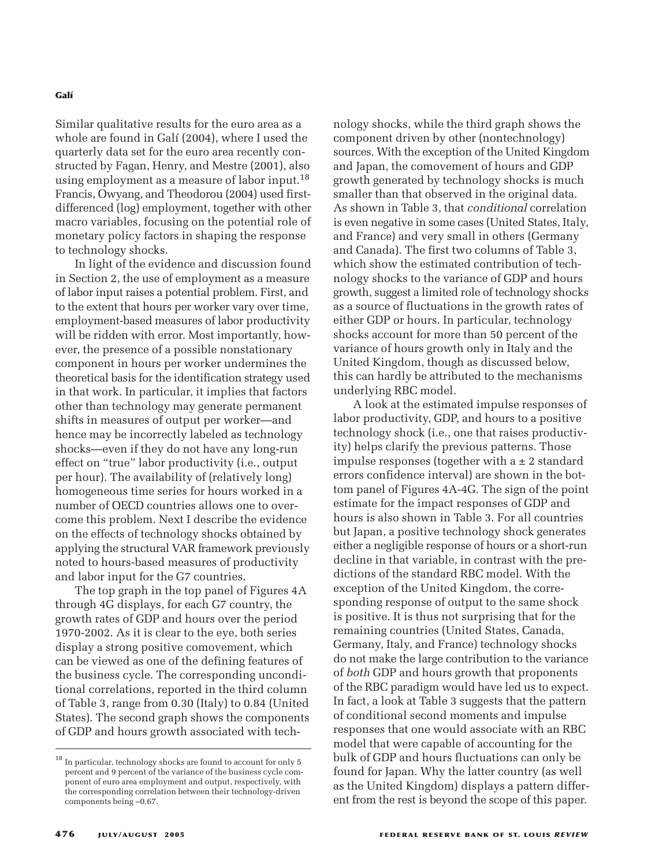Similar qualitative results for the euro area as a whole are found in Galí (2004), where I used the quarterly data set for the euro area recently constructed by Fagan, Henry, and Mestre (2001), also using employment as a measure of labor input.18 Francis, Owyang, and Theodorou (2004) used firstdifferenced (log) employment, together with other macro variables, focusing on the potential role of monetary policy factors in shaping the response to technology shocks.

In light of the evidence and discussion found in Section 2, the use of employment as a measure of labor input raises a potential problem. First, and to the extent that hours per worker vary over time, employment-based measures of labor productivity will be ridden with error. Most importantly, however, the presence of a possible nonstationary component in hours per worker undermines the theoretical basis for the identification strategy used in that work. In particular, it implies that factors other than technology may generate permanent shifts in measures of output per worker—and hence may be incorrectly labeled as technology shocks—even if they do not have any long-run effect on "true" labor productivity (i.e., output per hour). The availability of (relatively long) homogeneous time series for hours worked in a number of OECD countries allows one to overcome this problem. Next I describe the evidence on the effects of technology shocks obtained by applying the structural VAR framework previously noted to hours-based measures of productivity and labor input for the G7 countries.

The top graph in the top panel of Figures 4A through 4G displays, for each G7 country, the growth rates of GDP and hours over the period 1970-2002. As it is clear to the eye, both series display a strong positive comovement, which can be viewed as one of the defining features of the business cycle. The corresponding unconditional correlations, reported in the third column of Table 3, range from 0.30 (Italy) to 0.84 (United States). The second graph shows the components of GDP and hours growth associated with technology shocks, while the third graph shows the component driven by other (nontechnology) sources. With the exception of the United Kingdom and Japan, the comovement of hours and GDP growth generated by technology shocks is much smaller than that observed in the original data. As shown in Table 3, that *conditional* correlation is even negative in some cases (United States, Italy, and France) and very small in others (Germany and Canada). The first two columns of Table 3, which show the estimated contribution of technology shocks to the variance of GDP and hours growth, suggest a limited role of technology shocks as a source of fluctuations in the growth rates of either GDP or hours. In particular, technology shocks account for more than 50 percent of the variance of hours growth only in Italy and the United Kingdom, though as discussed below, this can hardly be attributed to the mechanisms underlying RBC model.

A look at the estimated impulse responses of labor productivity, GDP, and hours to a positive technology shock (i.e., one that raises productivity) helps clarify the previous patterns. Those impulse responses (together with  $a \pm 2$  standard errors confidence interval) are shown in the bottom panel of Figures 4A-4G. The sign of the point estimate for the impact responses of GDP and hours is also shown in Table 3. For all countries but Japan, a positive technology shock generates either a negligible response of hours or a short-run decline in that variable, in contrast with the predictions of the standard RBC model. With the exception of the United Kingdom, the corresponding response of output to the same shock is positive. It is thus not surprising that for the remaining countries (United States, Canada, Germany, Italy, and France) technology shocks do not make the large contribution to the variance of *both* GDP and hours growth that proponents of the RBC paradigm would have led us to expect. In fact, a look at Table 3 suggests that the pattern of conditional second moments and impulse responses that one would associate with an RBC model that were capable of accounting for the bulk of GDP and hours fluctuations can only be found for Japan. Why the latter country (as well as the United Kingdom) displays a pattern different from the rest is beyond the scope of this paper.

 $^{\rm 18}$  In particular, technology shocks are found to account for only 5 percent and 9 percent of the variance of the business cycle component of euro area employment and output, respectively, with the corresponding correlation between their technology-driven components being –0.67.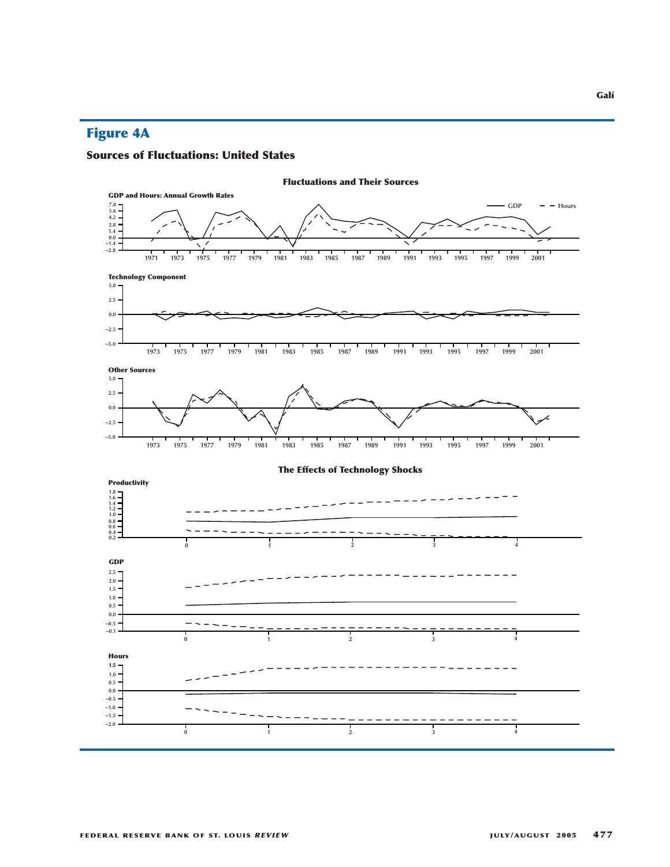# **Figure 4A**

### **Sources of Fluctuations: United States**

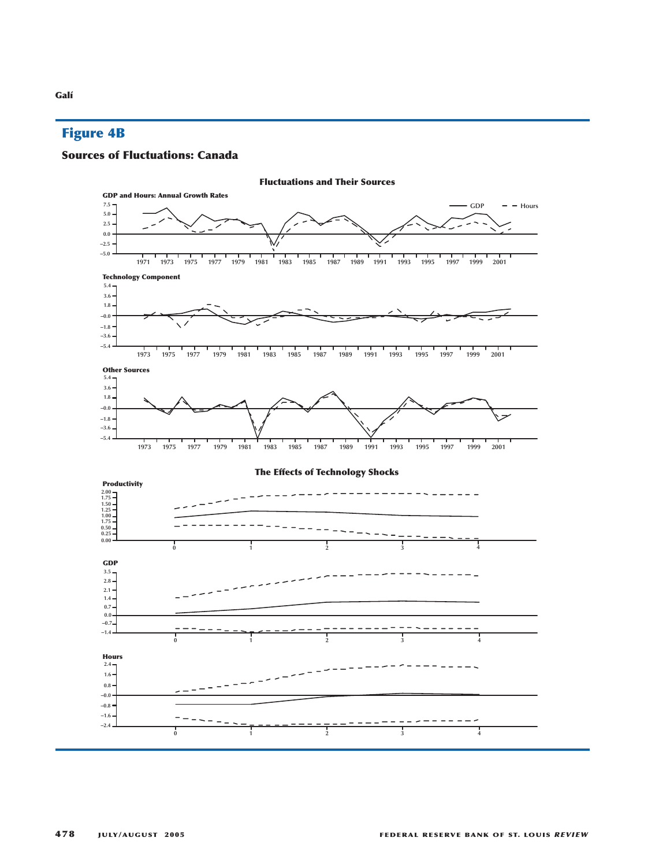# **Figure 4B**

#### **Sources of Fluctuations: Canada**

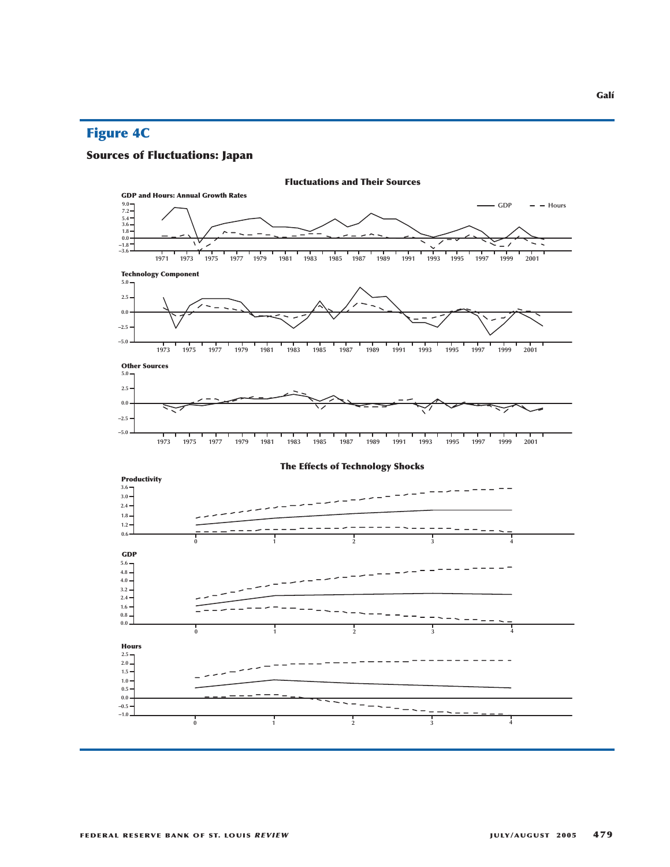# **Figure 4C**

# **Sources of Fluctuations: Japan**

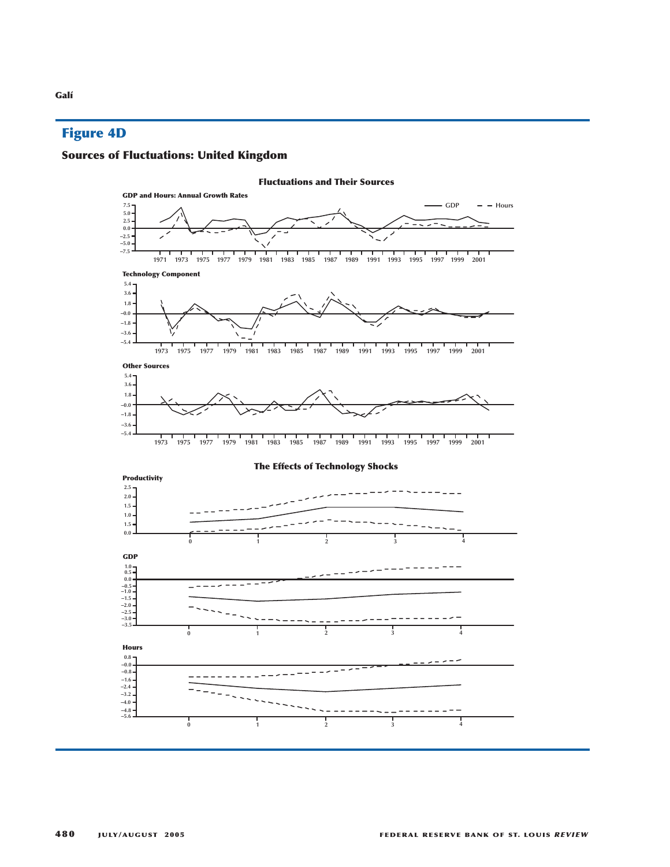# **Figure 4D**

# **Sources of Fluctuations: United Kingdom**

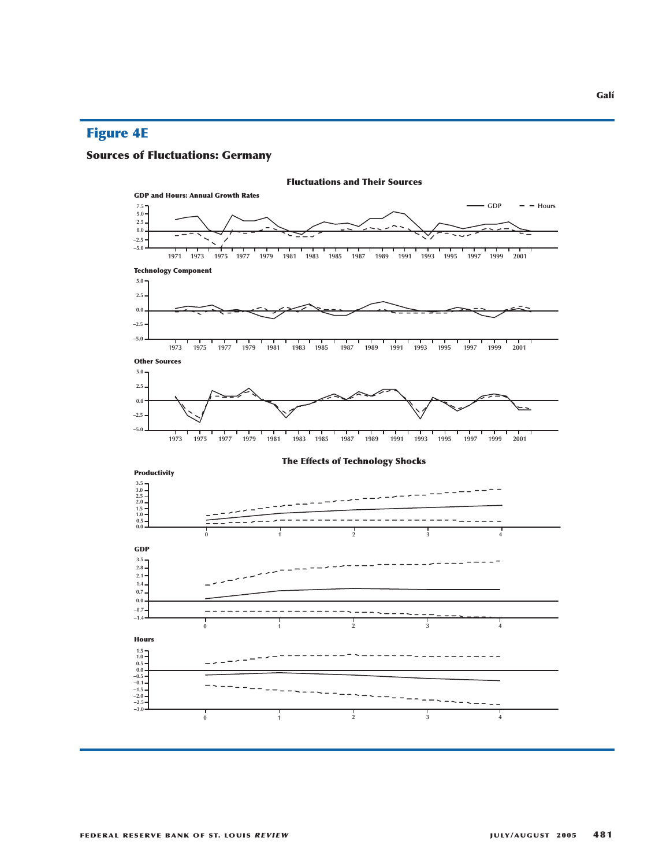# **Figure 4E**

# **Sources of Fluctuations: Germany**

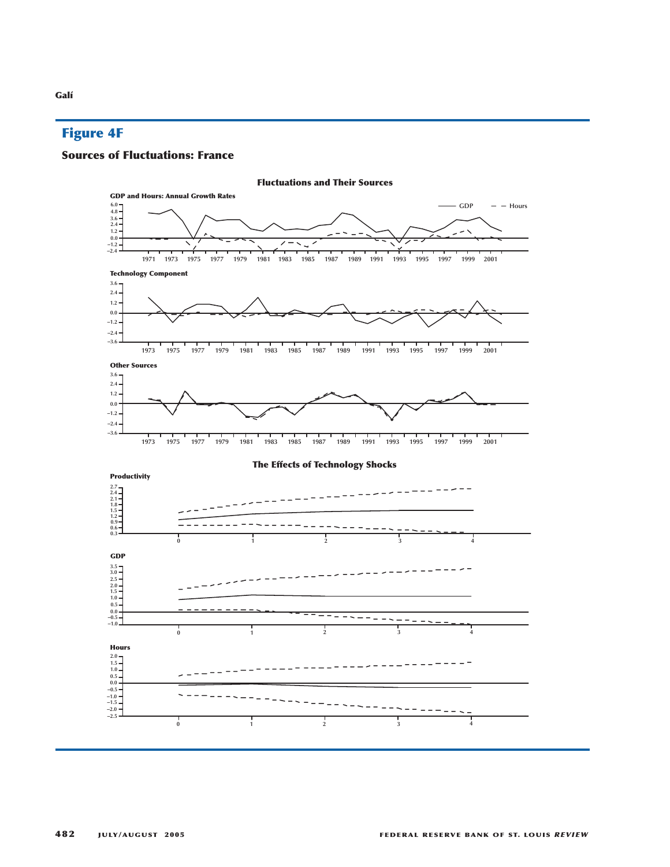# **Figure 4F**

### **Sources of Fluctuations: France**

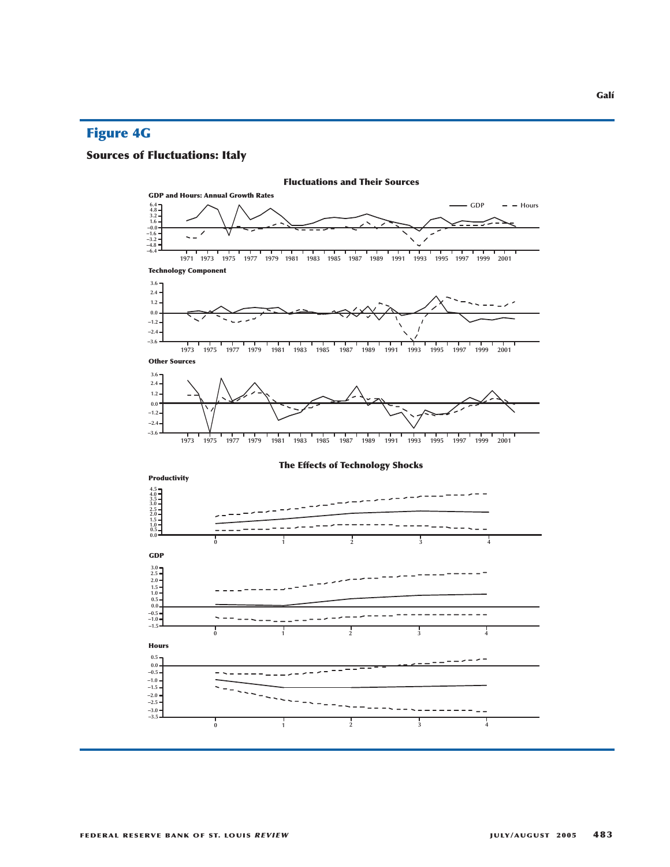# **Figure 4G**

# **Sources of Fluctuations: Italy**

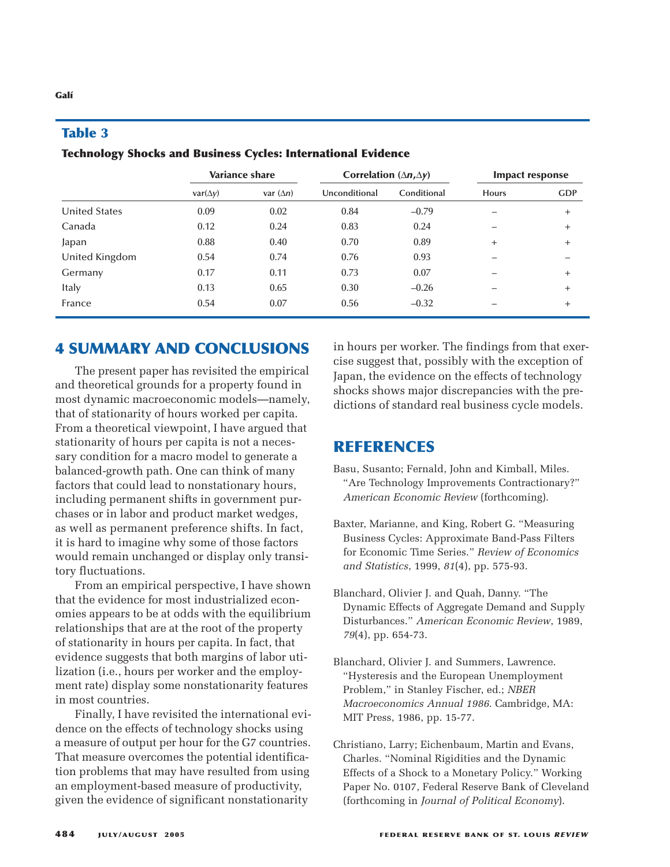|                      | <b>Variance share</b> |                  | Correlation $(\Delta n, \Delta y)$ |             | <b>Impact response</b> |            |
|----------------------|-----------------------|------------------|------------------------------------|-------------|------------------------|------------|
|                      | $var(\Delta y)$       | var $(\Delta n)$ | Unconditional                      | Conditional | <b>Hours</b>           | <b>GDP</b> |
| <b>United States</b> | 0.09                  | 0.02             | 0.84                               | $-0.79$     |                        | $+$        |
| Canada               | 0.12                  | 0.24             | 0.83                               | 0.24        |                        | $^{+}$     |
| Japan                | 0.88                  | 0.40             | 0.70                               | 0.89        | $+$                    | $^{+}$     |
| United Kingdom       | 0.54                  | 0.74             | 0.76                               | 0.93        |                        |            |
| Germany              | 0.17                  | 0.11             | 0.73                               | 0.07        |                        | $^{+}$     |
| Italy                | 0.13                  | 0.65             | 0.30                               | $-0.26$     |                        | $^{+}$     |
| France               | 0.54                  | 0.07             | 0.56                               | $-0.32$     |                        | $^{+}$     |

### **Table 3**

**Technology Shocks and Business Cycles: International Evidence**

# **4 SUMMARY AND CONCLUSIONS**

The present paper has revisited the empirical and theoretical grounds for a property found in most dynamic macroeconomic models—namely, that of stationarity of hours worked per capita. From a theoretical viewpoint, I have argued that stationarity of hours per capita is not a necessary condition for a macro model to generate a balanced-growth path. One can think of many factors that could lead to nonstationary hours, including permanent shifts in government purchases or in labor and product market wedges, as well as permanent preference shifts. In fact, it is hard to imagine why some of those factors would remain unchanged or display only transitory fluctuations.

From an empirical perspective, I have shown that the evidence for most industrialized economies appears to be at odds with the equilibrium relationships that are at the root of the property of stationarity in hours per capita. In fact, that evidence suggests that both margins of labor utilization (i.e., hours per worker and the employment rate) display some nonstationarity features in most countries.

Finally, I have revisited the international evidence on the effects of technology shocks using a measure of output per hour for the G7 countries. That measure overcomes the potential identification problems that may have resulted from using an employment-based measure of productivity, given the evidence of significant nonstationarity

in hours per worker. The findings from that exercise suggest that, possibly with the exception of Japan, the evidence on the effects of technology shocks shows major discrepancies with the predictions of standard real business cycle models.

# **REFERENCES**

- Basu, Susanto; Fernald, John and Kimball, Miles. "Are Technology Improvements Contractionary?" *American Economic Review* (forthcoming).
- Baxter, Marianne, and King, Robert G. "Measuring Business Cycles: Approximate Band-Pass Filters for Economic Time Series." *Review of Economics and Statistics*, 1999, *81*(4), pp. 575-93.
- Blanchard, Olivier J. and Quah, Danny. "The Dynamic Effects of Aggregate Demand and Supply Disturbances." *American Economic Review*, 1989, *79*(4), pp. 654-73.
- Blanchard, Olivier J. and Summers, Lawrence. "Hysteresis and the European Unemployment Problem," in Stanley Fischer, ed.; *NBER Macroeconomics Annual 1986*. Cambridge, MA: MIT Press, 1986, pp. 15-77.
- Christiano, Larry; Eichenbaum, Martin and Evans, Charles. "Nominal Rigidities and the Dynamic Effects of a Shock to a Monetary Policy." Working Paper No. 0107, Federal Reserve Bank of Cleveland (forthcoming in *Journal of Political Economy*).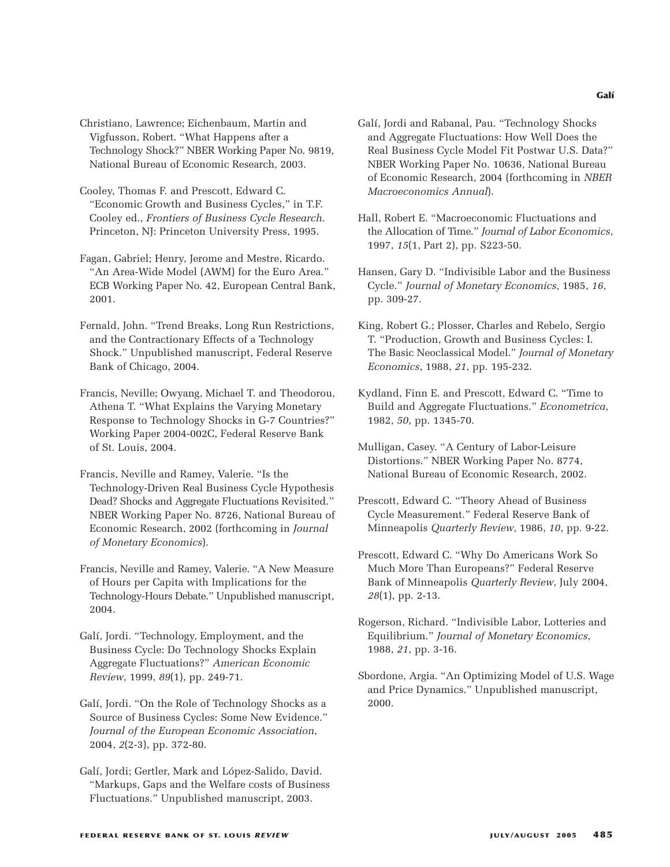Christiano, Lawrence; Eichenbaum, Martin and Vigfusson, Robert. "What Happens after a Technology Shock?" NBER Working Paper No. 9819, National Bureau of Economic Research, 2003.

- Cooley, Thomas F. and Prescott, Edward C. "Economic Growth and Business Cycles," in T.F. Cooley ed., *Frontiers of Business Cycle Research*. Princeton, NJ: Princeton University Press, 1995.
- Fagan, Gabriel; Henry, Jerome and Mestre, Ricardo. "An Area-Wide Model (AWM) for the Euro Area." ECB Working Paper No. 42, European Central Bank, 2001.
- Fernald, John. "Trend Breaks, Long Run Restrictions, and the Contractionary Effects of a Technology Shock." Unpublished manuscript, Federal Reserve Bank of Chicago, 2004.
- Francis, Neville; Owyang, Michael T. and Theodorou, Athena T. "What Explains the Varying Monetary Response to Technology Shocks in G-7 Countries?" Working Paper 2004-002C, Federal Reserve Bank of St. Louis, 2004.
- Francis, Neville and Ramey, Valerie. "Is the Technology-Driven Real Business Cycle Hypothesis Dead? Shocks and Aggregate Fluctuations Revisited." NBER Working Paper No. 8726, National Bureau of Economic Research, 2002 (forthcoming in *Journal of Monetary Economics*).
- Francis, Neville and Ramey, Valerie. "A New Measure of Hours per Capita with Implications for the Technology-Hours Debate." Unpublished manuscript, 2004.
- Galí, Jordi. "Technology, Employment, and the Business Cycle: Do Technology Shocks Explain Aggregate Fluctuations?" *American Economic Review*, 1999, *89*(1), pp. 249-71.
- Galí, Jordi. "On the Role of Technology Shocks as a Source of Business Cycles: Some New Evidence." *Journal of the European Economic Association*, 2004, *2*(2-3), pp. 372-80.
- Galí, Jordi; Gertler, Mark and López-Salido, David. "Markups, Gaps and the Welfare costs of Business Fluctuations." Unpublished manuscript, 2003.
- Galí, Jordi and Rabanal, Pau. "Technology Shocks and Aggregate Fluctuations: How Well Does the Real Business Cycle Model Fit Postwar U.S. Data?" NBER Working Paper No. 10636, National Bureau of Economic Research, 2004 (forthcoming in *NBER Macroeconomics Annual*).
- Hall, Robert E. "Macroeconomic Fluctuations and the Allocation of Time." *Journal of Labor Economics*, 1997, *15*(1, Part 2), pp. S223-50.
- Hansen, Gary D. "Indivisible Labor and the Business Cycle." *Journal of Monetary Economics*, 1985, *16*, pp. 309-27.
- King, Robert G.; Plosser, Charles and Rebelo, Sergio T. "Production, Growth and Business Cycles: I. The Basic Neoclassical Model." *Journal of Monetary Economics*, 1988, *21*, pp. 195-232.
- Kydland, Finn E. and Prescott, Edward C. "Time to Build and Aggregate Fluctuations." *Econometrica*, 1982, *50*, pp. 1345-70.
- Mulligan, Casey. "A Century of Labor-Leisure Distortions." NBER Working Paper No. 8774, National Bureau of Economic Research, 2002.
- Prescott, Edward C. "Theory Ahead of Business Cycle Measurement." Federal Reserve Bank of Minneapolis *Quarterly Review*, 1986, *10*, pp. 9-22.
- Prescott, Edward C. "Why Do Americans Work So Much More Than Europeans?" Federal Reserve Bank of Minneapolis *Quarterly Review*, July 2004, *28*(1), pp. 2-13.
- Rogerson, Richard. "Indivisible Labor, Lotteries and Equilibrium." *Journal of Monetary Economics*, 1988, *21*, pp. 3-16.
- Sbordone, Argia. "An Optimizing Model of U.S. Wage and Price Dynamics." Unpublished manuscript, 2000.